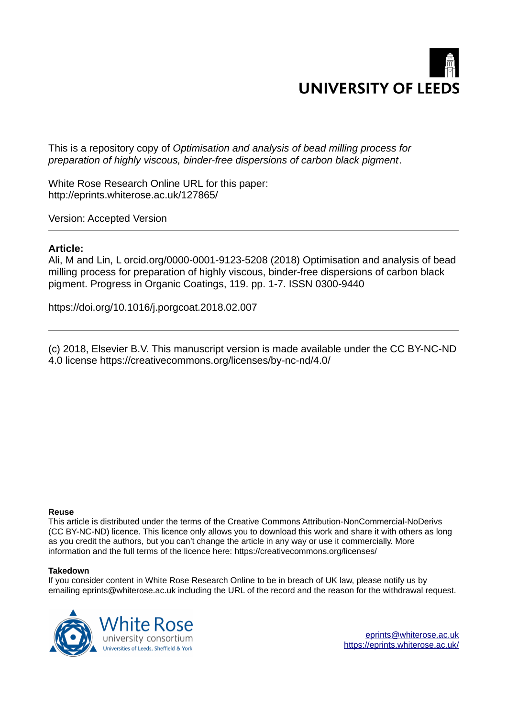

This is a repository copy of *Optimisation and analysis of bead milling process for preparation of highly viscous, binder-free dispersions of carbon black pigment*.

White Rose Research Online URL for this paper: http://eprints.whiterose.ac.uk/127865/

Version: Accepted Version

#### **Article:**

Ali, M and Lin, L orcid.org/0000-0001-9123-5208 (2018) Optimisation and analysis of bead milling process for preparation of highly viscous, binder-free dispersions of carbon black pigment. Progress in Organic Coatings, 119. pp. 1-7. ISSN 0300-9440

https://doi.org/10.1016/j.porgcoat.2018.02.007

(c) 2018, Elsevier B.V. This manuscript version is made available under the CC BY-NC-ND 4.0 license https://creativecommons.org/licenses/by-nc-nd/4.0/

#### **Reuse**

This article is distributed under the terms of the Creative Commons Attribution-NonCommercial-NoDerivs (CC BY-NC-ND) licence. This licence only allows you to download this work and share it with others as long as you credit the authors, but you can't change the article in any way or use it commercially. More information and the full terms of the licence here: https://creativecommons.org/licenses/

#### **Takedown**

If you consider content in White Rose Research Online to be in breach of UK law, please notify us by emailing eprints@whiterose.ac.uk including the URL of the record and the reason for the withdrawal request.

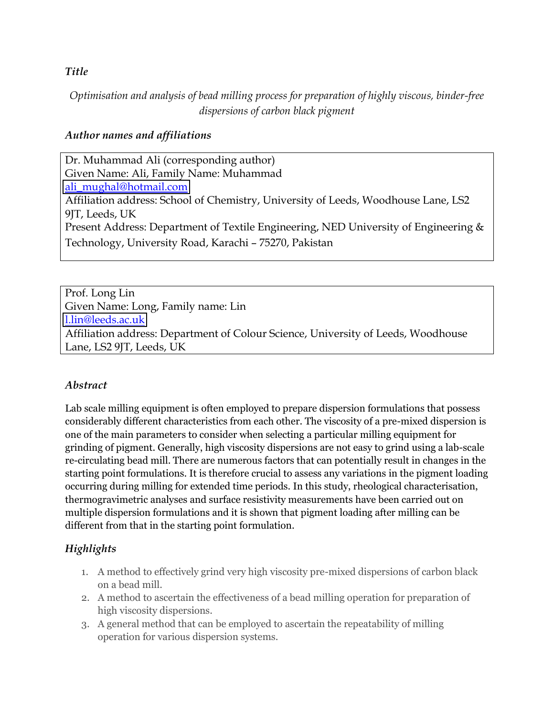### *Title*

*Optimisation and analysis of bead milling process for preparation of highly viscous, binder-free dispersions of carbon black pigment* 

### *Author names and affiliations*

Dr. Muhammad Ali (corresponding author) Given Name: Ali, Family Name: Muhammad [ali\\_mughal@hotmail.com](mailto:ali_mughal@hotmail.com)  Affiliation address: School of Chemistry, University of Leeds, Woodhouse Lane, LS2 9JT, Leeds, UK Present Address: Department of Textile Engineering, NED University of Engineering & Technology, University Road, Karachi – 75270, Pakistan

Prof. Long Lin Given Name: Long, Family name: Lin [l.lin@leeds.ac.uk](mailto:l.lin@leeds.ac.uk)  Affiliation address: Department of Colour Science, University of Leeds, Woodhouse Lane, LS2 9JT, Leeds, UK

### *Abstract*

Lab scale milling equipment is often employed to prepare dispersion formulations that possess considerably different characteristics from each other. The viscosity of a pre-mixed dispersion is one of the main parameters to consider when selecting a particular milling equipment for grinding of pigment. Generally, high viscosity dispersions are not easy to grind using a lab-scale re-circulating bead mill. There are numerous factors that can potentially result in changes in the starting point formulations. It is therefore crucial to assess any variations in the pigment loading occurring during milling for extended time periods. In this study, rheological characterisation, thermogravimetric analyses and surface resistivity measurements have been carried out on multiple dispersion formulations and it is shown that pigment loading after milling can be different from that in the starting point formulation.

# <span id="page-1-0"></span>*Highlights*

- 1. A method to effectively grind very high viscosity pre-mixed dispersions of carbon black on a bead mill.
- 2. A method to ascertain the effectiveness of a bead milling operation for preparation of high viscosity dispersions.
- 3. A general method that can be employed to ascertain the repeatability of milling operation for various dispersion systems.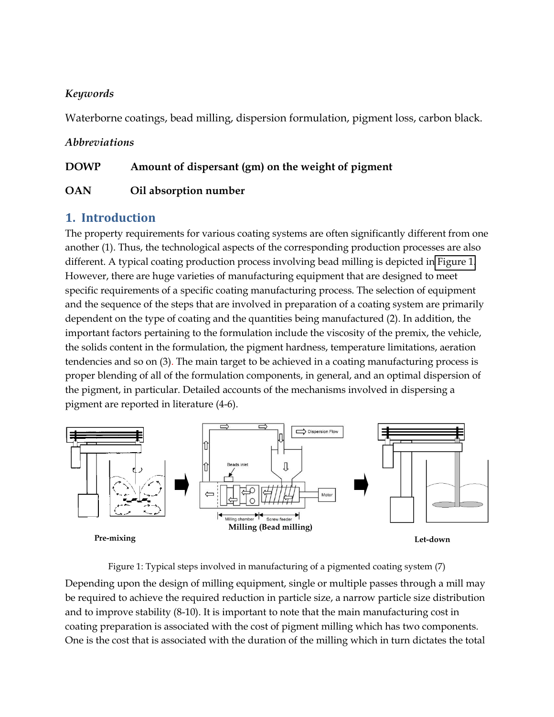## *Keywords*

Waterborne coatings, bead milling, dispersion formulation, pigment loss, carbon black.

### *Abbreviations*

## **DOWP Amount of dispersant (gm) on the weight of pigment**

### **OAN Oil absorption number**

# **1. Introduction**

The property requirements for various coating systems are often significantly different from one another (1). Thus, the technological aspects of the corresponding production processes are also different. A typical coating production process involving bead milling is depicted in [Figure 1.](#page-1-0) However, there are huge varieties of manufacturing equipment that are designed to meet specific requirements of a specific coating manufacturing process. The selection of equipment and the sequence of the steps that are involved in preparation of a coating system are primarily dependent on the type of coating and the quantities being manufactured (2). In addition, the important factors pertaining to the formulation include the viscosity of the premix, the vehicle, the solids content in the formulation, the pigment hardness, temperature limitations, aeration tendencies and so on (3). The main target to be achieved in a coating manufacturing process is proper blending of all of the formulation components, in general, and an optimal dispersion of the pigment, in particular. Detailed accounts of the mechanisms involved in dispersing a pigment are reported in literature (4-6).



Figure 1: Typical steps involved in manufacturing of a pigmented coating system (7) Depending upon the design of milling equipment, single or multiple passes through a mill may be required to achieve the required reduction in particle size, a narrow particle size distribution and to improve stability (8-10). It is important to note that the main manufacturing cost in coating preparation is associated with the cost of pigment milling which has two components. One is the cost that is associated with the duration of the milling which in turn dictates the total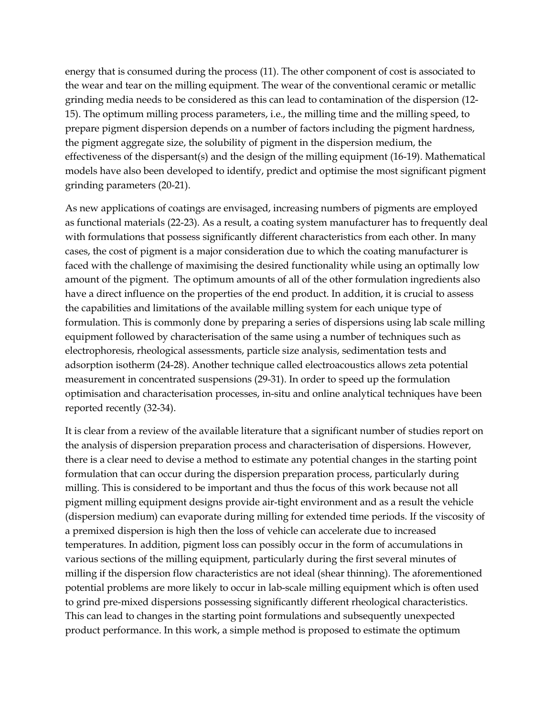energy that is consumed during the process (11). The other component of cost is associated to the wear and tear on the milling equipment. The wear of the conventional ceramic or metallic grinding media needs to be considered as this can lead to contamination of the dispersion (12- 15). The optimum milling process parameters, i.e., the milling time and the milling speed, to prepare pigment dispersion depends on a number of factors including the pigment hardness, the pigment aggregate size, the solubility of pigment in the dispersion medium, the effectiveness of the dispersant(s) and the design of the milling equipment (16-19). Mathematical models have also been developed to identify, predict and optimise the most significant pigment grinding parameters (20-21).

<span id="page-3-0"></span>As new applications of coatings are envisaged, increasing numbers of pigments are employed as functional materials (22-23). As a result, a coating system manufacturer has to frequently deal with formulations that possess significantly different characteristics from each other. In many cases, the cost of pigment is a major consideration due to which the coating manufacturer is faced with the challenge of maximising the desired functionality while using an optimally low amount of the pigment. The optimum amounts of all of the other formulation ingredients also have a direct influence on the properties of the end product. In addition, it is crucial to assess the capabilities and limitations of the available milling system for each unique type of formulation. This is commonly done by preparing a series of dispersions using lab scale milling equipment followed by characterisation of the same using a number of techniques such as electrophoresis, rheological assessments, particle size analysis, sedimentation tests and adsorption isotherm (24-28). Another technique called electroacoustics allows zeta potential measurement in concentrated suspensions (29-31). In order to speed up the formulation optimisation and characterisation processes, in-situ and online analytical techniques have been reported recently (32-34).

<span id="page-3-1"></span>It is clear from a review of the available literature that a significant number of studies report on the analysis of dispersion preparation process and characterisation of dispersions. However, there is a clear need to devise a method to estimate any potential changes in the starting point formulation that can occur during the dispersion preparation process, particularly during milling. This is considered to be important and thus the focus of this work because not all pigment milling equipment designs provide air-tight environment and as a result the vehicle (dispersion medium) can evaporate during milling for extended time periods. If the viscosity of a premixed dispersion is high then the loss of vehicle can accelerate due to increased temperatures. In addition, pigment loss can possibly occur in the form of accumulations in various sections of the milling equipment, particularly during the first several minutes of milling if the dispersion flow characteristics are not ideal (shear thinning). The aforementioned potential problems are more likely to occur in lab-scale milling equipment which is often used to grind pre-mixed dispersions possessing significantly different rheological characteristics. This can lead to changes in the starting point formulations and subsequently unexpected product performance. In this work, a simple method is proposed to estimate the optimum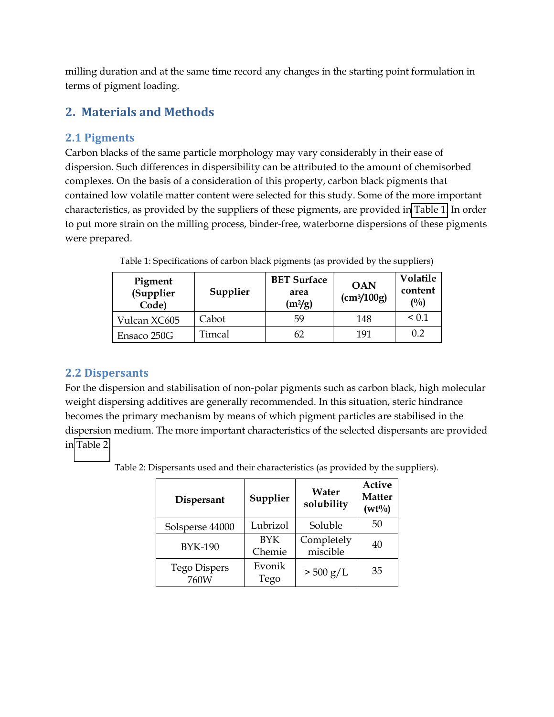milling duration and at the same time record any changes in the starting point formulation in terms of pigment loading.

# **2. Materials and Methods**

### **2.1 Pigments**

Carbon blacks of the same particle morphology may vary considerably in their ease of dispersion. Such differences in dispersibility can be attributed to the amount of chemisorbed complexes. On the basis of a consideration of this property, carbon black pigments that contained low volatile matter content were selected for this study. Some of the more important characteristics, as provided by the suppliers of these pigments, are provided in [Table 1.](#page-3-0) In order to put more strain on the milling process, binder-free, waterborne dispersions of these pigments were prepared.

<span id="page-4-1"></span><span id="page-4-0"></span>

| Pigment<br>(Supplier<br>Code) | Supplier | <b>BET Surface</b><br>area<br>$(m^{2}/g)$ | <b>OAN</b><br>$(cm^3/100g)$ | Volatile<br>content<br>$($ %) |
|-------------------------------|----------|-------------------------------------------|-----------------------------|-------------------------------|
| Vulcan XC605                  | Cabot    | 59                                        | 148                         | ${}_{0.1}$                    |
| Ensaco 250G                   | Timcal   | 62                                        | 191                         | 0.2                           |

Table 1: Specifications of carbon black pigments (as provided by the suppliers)

### **2.2 Dispersants**

For the dispersion and stabilisation of non-polar pigments such as carbon black, high molecular weight dispersing additives are generally recommended. In this situation, steric hindrance becomes the primary mechanism by means of which pigment particles are stabilised in the dispersion medium. The more important characteristics of the selected dispersants are provided in [Table 2.](#page-3-1)

Table 2: Dispersants used and their characteristics (as provided by the suppliers).

| Dispersant                  | Supplier             | Water<br>solubility    | Active<br><b>Matter</b><br>$(wt\%)$ |
|-----------------------------|----------------------|------------------------|-------------------------------------|
| Solsperse 44000             | Lubrizol             | Soluble                | 50                                  |
| <b>BYK-190</b>              | <b>BYK</b><br>Chemie | Completely<br>miscible | 40                                  |
| <b>Tego Dispers</b><br>760W | Evonik<br>Tego       | > 500 g/L              | 35                                  |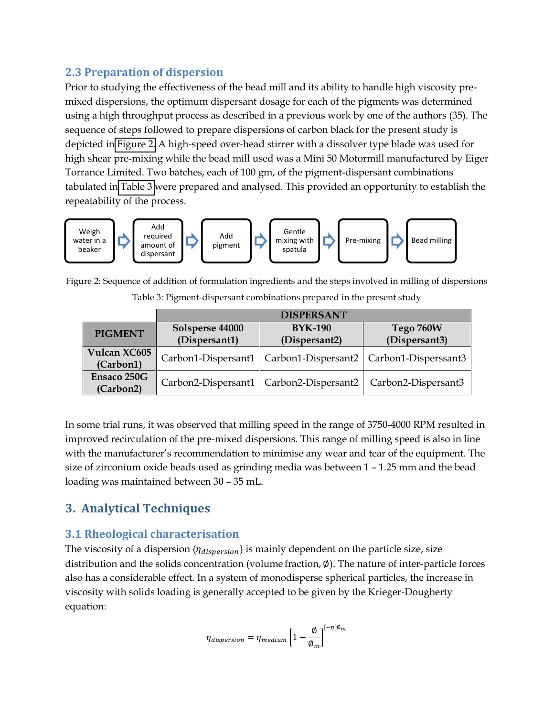### **2.3 Preparation of dispersion**

Prior to studying the effectiveness of the bead mill and its ability to handle high viscosity premixed dispersions, the optimum dispersant dosage for each of the pigments was determined using a high throughput process as described in a previous work by one of the authors (35). The sequence of steps followed to prepare dispersions of carbon black for the present study is depicted in [Figure 2.](#page-4-0) A high-speed over-head stirrer with a dissolver type blade was used for high shear pre-mixing while the bead mill used was a Mini 50 Motormill manufactured by Eiger Torrance Limited. Two batches, each of 100 gm, of the pigment-dispersant combinations tabulated in [Table 3](#page-4-1) were prepared and analysed. This provided an opportunity to establish the repeatability of the process.



Figure 2: Sequence of addition of formulation ingredients and the steps involved in milling of dispersions Table 3: Pigment-dispersant combinations prepared in the present study

|                                 | <b>DISPERSANT</b>   |                     |                                            |  |
|---------------------------------|---------------------|---------------------|--------------------------------------------|--|
| <b>PIGMENT</b>                  | Solsperse 44000     | <b>BYK-190</b>      | Tego 760W                                  |  |
| (Dispersant1)                   |                     | (Dispersant2)       | (Dispersant3)                              |  |
| Vulcan XC605                    | Carbon1-Dispersant1 |                     | Carbon1-Dispersant2   Carbon1-Disperssant3 |  |
| (Carbon1)                       |                     |                     |                                            |  |
| <b>Ensaco 250G</b><br>(Carbon2) | Carbon2-Dispersant1 | Carbon2-Dispersant2 | Carbon2-Dispersant3                        |  |

In some trial runs, it was observed that milling speed in the range of 3750-4000 RPM resulted in improved recirculation of the pre-mixed dispersions. This range of milling speed is also in line with the manufacturer's recommendation to minimise any wear and tear of the equipment. The size of zirconium oxide beads used as grinding media was between 1 – 1.25 mm and the bead loading was maintained between 30 – 35 mL.

# <span id="page-5-0"></span>**3. Analytical Techniques**

# **3.1 Rheological characterisation**

The viscosity of a dispersion ( $\eta_{dispersion}$ ) is mainly dependent on the particle size, size distribution and the solids concentration (volume fraction,  $\varnothing$ ). The nature of inter-particle forces also has a considerable effect. In a system of monodisperse spherical particles, the increase in viscosity with solids loading is generally accepted to be given by the Krieger-Dougherty equation:

$$
\eta_{dispersion} = \eta_{medium} \left[1 - \frac{\phi}{\phi_m}\right]^{[-\eta]\phi_m}
$$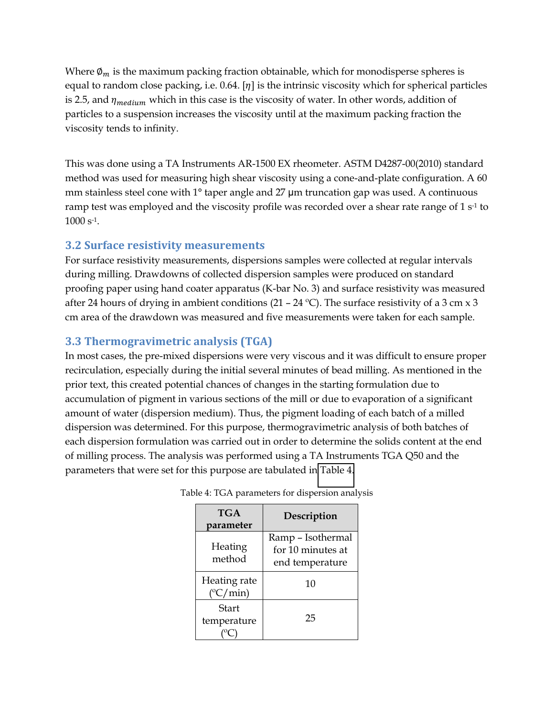Where  $\varphi_m$  is the maximum packing fraction obtainable, which for monodisperse spheres is equal to random close packing, i.e. 0.64.  $[\eta]$  is the intrinsic viscosity which for spherical particles is 2.5, and  $\eta_{medium}$  which in this case is the viscosity of water. In other words, addition of particles to a suspension increases the viscosity until at the maximum packing fraction the viscosity tends to infinity.

This was done using a TA Instruments AR-1500 EX rheometer. ASTM D4287-00(2010) standard method was used for measuring high shear viscosity using a cone-and-plate configuration. A 60 mm stainless steel cone with  $1^{\circ}$  taper angle and  $27 \mu m$  truncation gap was used. A continuous ramp test was employed and the viscosity profile was recorded over a shear rate range of 1 s-1 to 1000 s-1.

### **3.2 Surface resistivity measurements**

For surface resistivity measurements, dispersions samples were collected at regular intervals during milling. Drawdowns of collected dispersion samples were produced on standard proofing paper using hand coater apparatus (K-bar No. 3) and surface resistivity was measured after 24 hours of drying in ambient conditions (21 – 24 °C). The surface resistivity of a 3 cm  $\times$  3 cm area of the drawdown was measured and five measurements were taken for each sample.

### **3.3 Thermogravimetric analysis (TGA)**

In most cases, the pre-mixed dispersions were very viscous and it was difficult to ensure proper recirculation, especially during the initial several minutes of bead milling. As mentioned in the prior text, this created potential chances of changes in the starting formulation due to accumulation of pigment in various sections of the mill or due to evaporation of a significant amount of water (dispersion medium). Thus, the pigment loading of each batch of a milled dispersion was determined. For this purpose, thermogravimetric analysis of both batches of each dispersion formulation was carried out in order to determine the solids content at the end of milling process. The analysis was performed using a TA Instruments TGA Q50 and the parameters that were set for this purpose are tabulated in [Table 4.](#page-5-0)

| TGA<br>parameter                         | Description                                               |  |
|------------------------------------------|-----------------------------------------------------------|--|
| Heating<br>method                        | Ramp - Isothermal<br>for 10 minutes at<br>end temperature |  |
| Heating rate<br>$(^{\circ}C/\text{min})$ | 10                                                        |  |
| Start<br>temperature                     | 25                                                        |  |

| Table 4: TGA parameters for dispersion analysis |  |  |
|-------------------------------------------------|--|--|
|                                                 |  |  |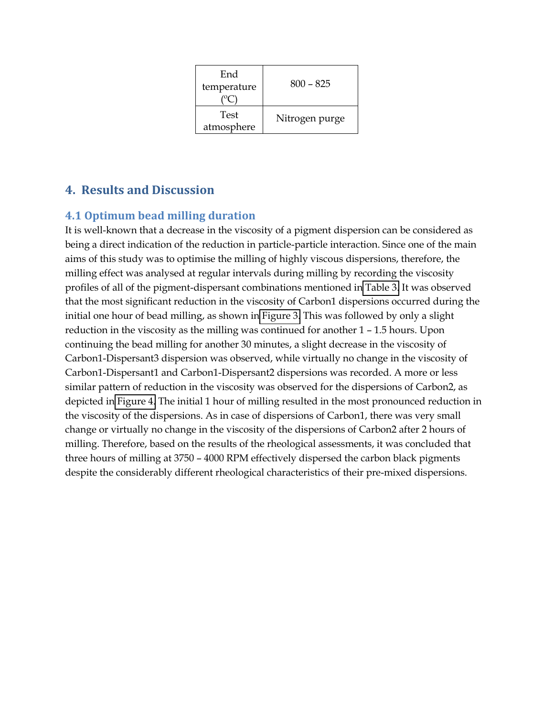| End<br>temperature | $800 - 825$    |
|--------------------|----------------|
| Test<br>atmosphere | Nitrogen purge |

# **4. Results and Discussion**

# **4.1 Optimum bead milling duration**

<span id="page-7-0"></span>It is well-known that a decrease in the viscosity of a pigment dispersion can be considered as being a direct indication of the reduction in particle-particle interaction. Since one of the main aims of this study was to optimise the milling of highly viscous dispersions, therefore, the milling effect was analysed at regular intervals during milling by recording the viscosity profiles of all of the pigment-dispersant combinations mentioned i[n Table 3.](#page-4-1) It was observed that the most significant reduction in the viscosity of Carbon1 dispersions occurred during the initial one hour of bead milling, as shown in [Figure 3.](#page-7-0) This was followed by only a slight reduction in the viscosity as the milling was continued for another 1 – 1.5 hours. Upon continuing the bead milling for another 30 minutes, a slight decrease in the viscosity of Carbon1-Dispersant3 dispersion was observed, while virtually no change in the viscosity of Carbon1-Dispersant1 and Carbon1-Dispersant2 dispersions was recorded. A more or less similar pattern of reduction in the viscosity was observed for the dispersions of Carbon2, as depicted in [Figure 4.](#page-8-0) The initial 1 hour of milling resulted in the most pronounced reduction in the viscosity of the dispersions. As in case of dispersions of Carbon1, there was very small change or virtually no change in the viscosity of the dispersions of Carbon2 after 2 hours of milling. Therefore, based on the results of the rheological assessments, it was concluded that three hours of milling at 3750 – 4000 RPM effectively dispersed the carbon black pigments despite the considerably different rheological characteristics of their pre-mixed dispersions.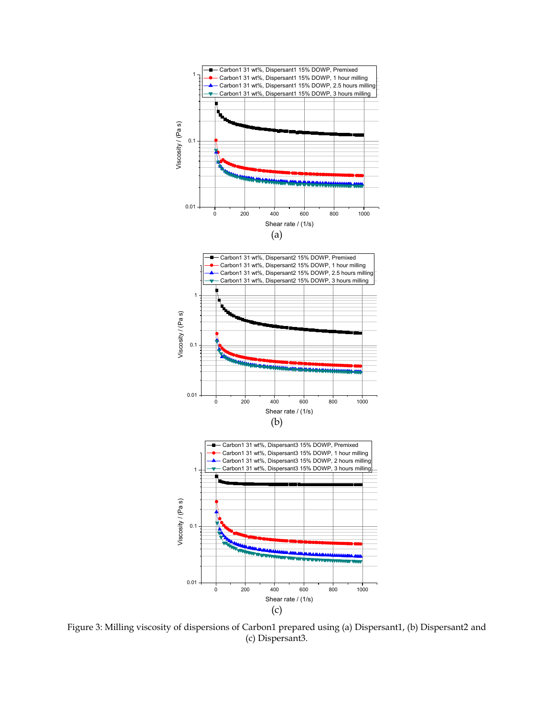

<span id="page-8-0"></span>Figure 3: Milling viscosity of dispersions of Carbon1 prepared using (a) Dispersant1, (b) Dispersant2 and (c) Dispersant3.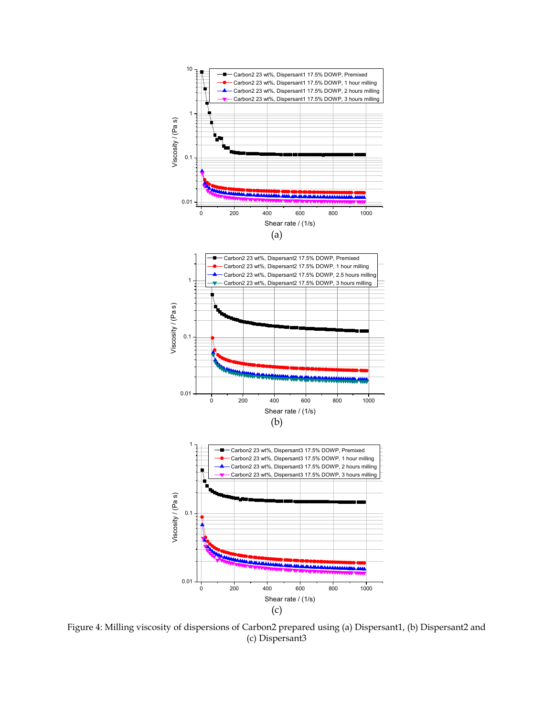

<span id="page-9-0"></span>Figure 4: Milling viscosity of dispersions of Carbon2 prepared using (a) Dispersant1, (b) Dispersant2 and (c) Dispersant3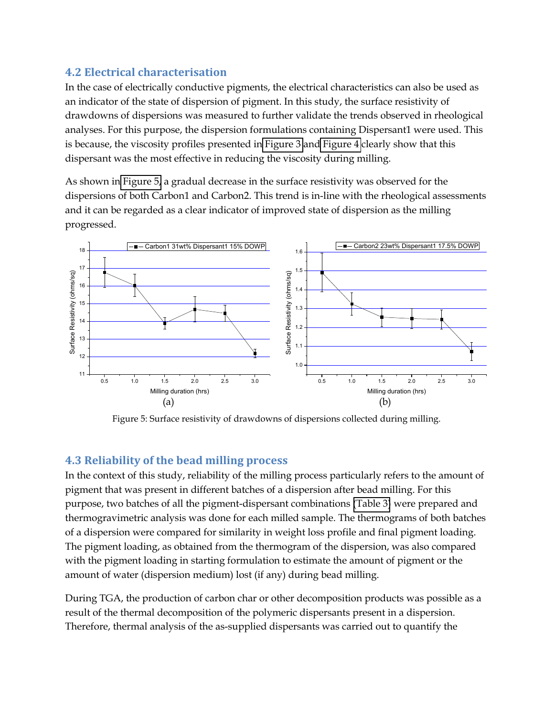# **4.2 Electrical characterisation**

In the case of electrically conductive pigments, the electrical characteristics can also be used as an indicator of the state of dispersion of pigment. In this study, the surface resistivity of drawdowns of dispersions was measured to further validate the trends observed in rheological analyses. For this purpose, the dispersion formulations containing Dispersant1 were used. This is because, the viscosity profiles presented in [Figure 3](#page-7-0) an[d Figure 4](#page-8-0) clearly show that this dispersant was the most effective in reducing the viscosity during milling.

As shown i[n Figure 5,](#page-9-0) a gradual decrease in the surface resistivity was observed for the dispersions of both Carbon1 and Carbon2. This trend is in-line with the rheological assessments and it can be regarded as a clear indicator of improved state of dispersion as the milling progressed.

<span id="page-10-0"></span>

Figure 5: Surface resistivity of drawdowns of dispersions collected during milling.

### <span id="page-10-1"></span>**4.3 Reliability of the bead milling process**

In the context of this study, reliability of the milling process particularly refers to the amount of pigment that was present in different batches of a dispersion after bead milling. For this purpose, two batches of all the pigment-dispersant combinations [\(Table 3\)](#page-4-1) were prepared and thermogravimetric analysis was done for each milled sample. The thermograms of both batches of a dispersion were compared for similarity in weight loss profile and final pigment loading. The pigment loading, as obtained from the thermogram of the dispersion, was also compared with the pigment loading in starting formulation to estimate the amount of pigment or the amount of water (dispersion medium) lost (if any) during bead milling.

During TGA, the production of carbon char or other decomposition products was possible as a result of the thermal decomposition of the polymeric dispersants present in a dispersion. Therefore, thermal analysis of the as-supplied dispersants was carried out to quantify the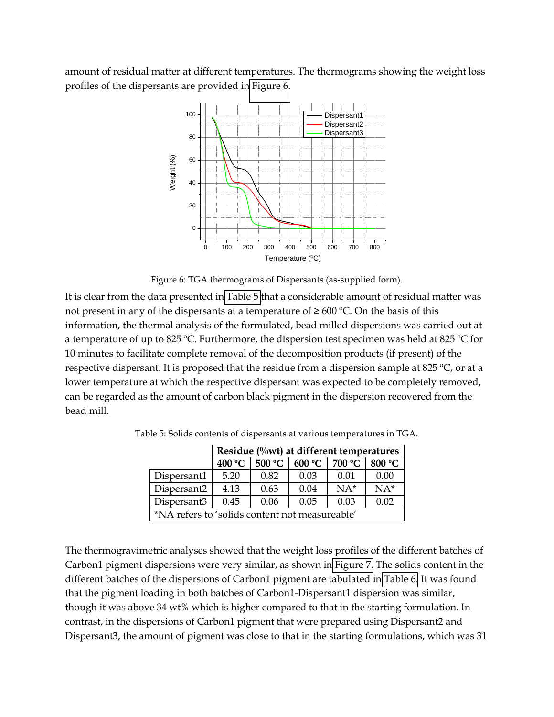amount of residual matter at different temperatures. The thermograms showing the weight loss profiles of the dispersants are provided in [Figure 6.](#page-10-0)



Figure 6: TGA thermograms of Dispersants (as-supplied form).

<span id="page-11-0"></span>It is clear from the data presented in [Table 5](#page-10-1) that a considerable amount of residual matter was not present in any of the dispersants at a temperature of  $\geq 600$  °C. On the basis of this information, the thermal analysis of the formulated, bead milled dispersions was carried out at a temperature of up to 825 ºC. Furthermore, the dispersion test specimen was held at 825 ºC for 10 minutes to facilitate complete removal of the decomposition products (if present) of the respective dispersant. It is proposed that the residue from a dispersion sample at 825 ºC, or at a lower temperature at which the respective dispersant was expected to be completely removed, can be regarded as the amount of carbon black pigment in the dispersion recovered from the bead mill.

|                                                     | Residue (%wt) at different temperatures                           |      |      |      |      |  |
|-----------------------------------------------------|-------------------------------------------------------------------|------|------|------|------|--|
|                                                     | 500 °C<br>$700\,^{\circ}\mathrm{C}$<br>400 °C<br>600 °C<br>800 °C |      |      |      |      |  |
| Dispersant1                                         | 5.20                                                              | 0.82 | 0.03 | 0.01 | 0.00 |  |
| Dispersant2                                         | $NA*$<br>$NA*$<br>4.13<br>0.63<br>0.04                            |      |      |      |      |  |
| 0.45<br>0.02<br>0.06<br>0.05<br>0.03<br>Dispersant3 |                                                                   |      |      |      |      |  |
| *NA refers to 'solids content not measureable'      |                                                                   |      |      |      |      |  |

Table 5: Solids contents of dispersants at various temperatures in TGA.

The thermogravimetric analyses showed that the weight loss profiles of the different batches of Carbon1 pigment dispersions were very similar, as shown in [Figure 7.](#page-12-0) The solids content in the different batches of the dispersions of Carbon1 pigment are tabulated in [Table 6.](#page-11-0) It was found that the pigment loading in both batches of Carbon1-Dispersant1 dispersion was similar, though it was above 34 wt% which is higher compared to that in the starting formulation. In contrast, in the dispersions of Carbon1 pigment that were prepared using Dispersant2 and Dispersant3, the amount of pigment was close to that in the starting formulations, which was 31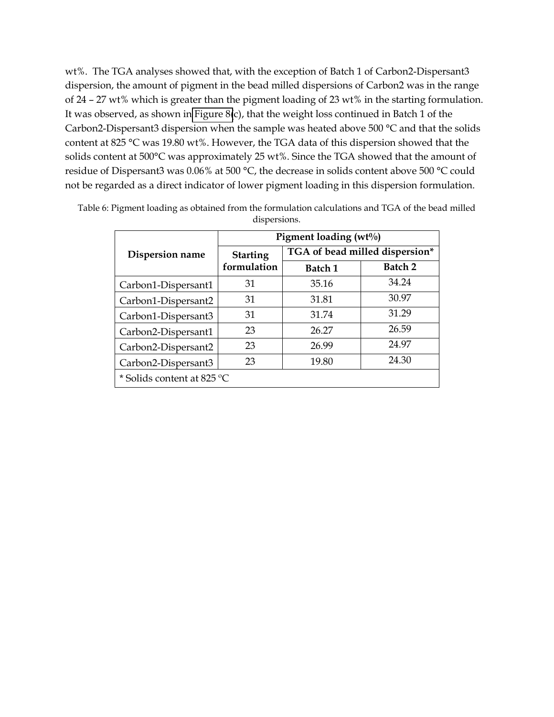wt%. The TGA analyses showed that, with the exception of Batch 1 of Carbon2-Dispersant3 dispersion, the amount of pigment in the bead milled dispersions of Carbon2 was in the range of 24 – 27 wt% which is greater than the pigment loading of 23 wt% in the starting formulation. It was observed, as shown in [Figure 8\(](#page-13-0)c), that the weight loss continued in Batch 1 of the Carbon2-Dispersant3 dispersion when the sample was heated above 500 °C and that the solids content at 825 °C was 19.80 wt%. However, the TGA data of this dispersion showed that the solids content at 500°C was approximately 25 wt%. Since the TGA showed that the amount of residue of Dispersant3 was 0.06% at 500 °C, the decrease in solids content above 500 °C could not be regarded as a direct indicator of lower pigment loading in this dispersion formulation.

<span id="page-12-0"></span>

|                            | Pigment loading $(wt\%)$ |                                |         |  |
|----------------------------|--------------------------|--------------------------------|---------|--|
| Dispersion name            | <b>Starting</b>          | TGA of bead milled dispersion* |         |  |
|                            | formulation              | Batch 1                        | Batch 2 |  |
| Carbon1-Dispersant1        | 31                       | 35.16                          | 34.24   |  |
| Carbon1-Dispersant2        | 31                       | 31.81                          | 30.97   |  |
| Carbon1-Dispersant3        | 31                       | 31.74                          | 31.29   |  |
| Carbon2-Dispersant1        | 23                       | 26.27                          | 26.59   |  |
| Carbon2-Dispersant2        | 23                       | 26.99                          | 24.97   |  |
| Carbon2-Dispersant3        | 23                       | 19.80                          | 24.30   |  |
| * Solids content at 825 °C |                          |                                |         |  |

Table 6: Pigment loading as obtained from the formulation calculations and TGA of the bead milled dispersions.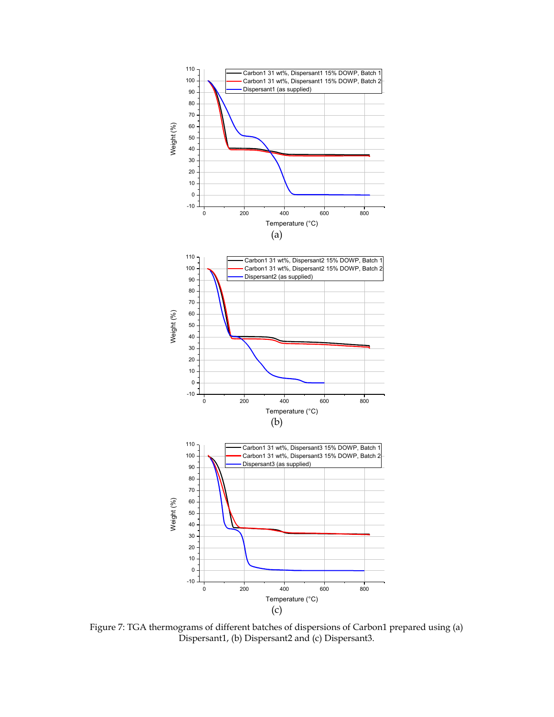

<span id="page-13-0"></span>Figure 7: TGA thermograms of different batches of dispersions of Carbon1 prepared using (a) Dispersant1, (b) Dispersant2 and (c) Dispersant3.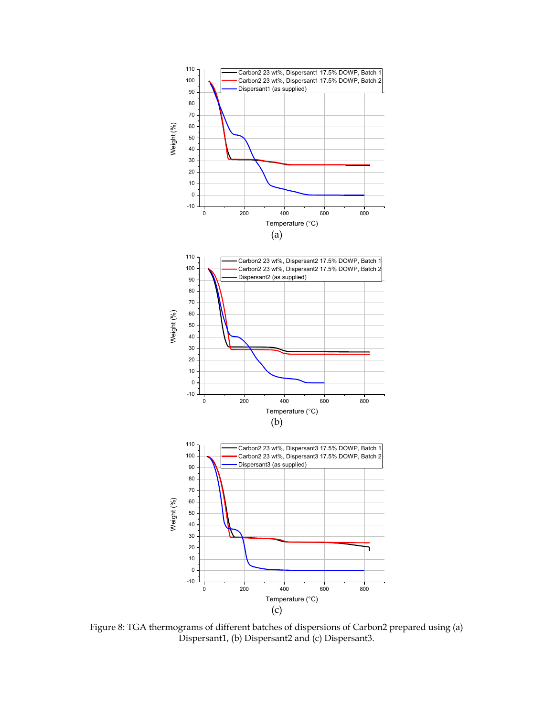

Figure 8: TGA thermograms of different batches of dispersions of Carbon2 prepared using (a) Dispersant1, (b) Dispersant2 and (c) Dispersant3.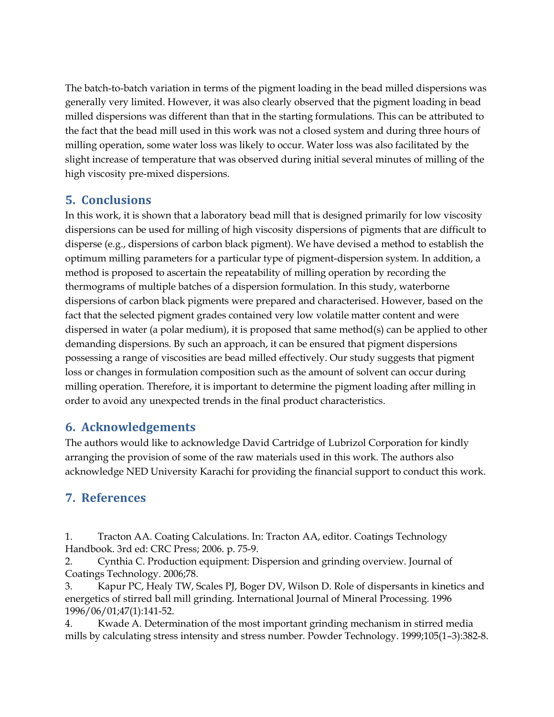The batch-to-batch variation in terms of the pigment loading in the bead milled dispersions was generally very limited. However, it was also clearly observed that the pigment loading in bead milled dispersions was different than that in the starting formulations. This can be attributed to the fact that the bead mill used in this work was not a closed system and during three hours of milling operation, some water loss was likely to occur. Water loss was also facilitated by the slight increase of temperature that was observed during initial several minutes of milling of the high viscosity pre-mixed dispersions.

## **5. Conclusions**

In this work, it is shown that a laboratory bead mill that is designed primarily for low viscosity dispersions can be used for milling of high viscosity dispersions of pigments that are difficult to disperse (e.g., dispersions of carbon black pigment). We have devised a method to establish the optimum milling parameters for a particular type of pigment-dispersion system. In addition, a method is proposed to ascertain the repeatability of milling operation by recording the thermograms of multiple batches of a dispersion formulation. In this study, waterborne dispersions of carbon black pigments were prepared and characterised. However, based on the fact that the selected pigment grades contained very low volatile matter content and were dispersed in water (a polar medium), it is proposed that same method(s) can be applied to other demanding dispersions. By such an approach, it can be ensured that pigment dispersions possessing a range of viscosities are bead milled effectively. Our study suggests that pigment loss or changes in formulation composition such as the amount of solvent can occur during milling operation. Therefore, it is important to determine the pigment loading after milling in order to avoid any unexpected trends in the final product characteristics.

# **6. Acknowledgements**

The authors would like to acknowledge David Cartridge of Lubrizol Corporation for kindly arranging the provision of some of the raw materials used in this work. The authors also acknowledge NED University Karachi for providing the financial support to conduct this work.

# **7. References**

1. Tracton AA. Coating Calculations. In: Tracton AA, editor. Coatings Technology Handbook. 3rd ed: CRC Press; 2006. p. 75-9.

2. Cynthia C. Production equipment: Dispersion and grinding overview. Journal of Coatings Technology. 2006;78.

3. Kapur PC, Healy TW, Scales PJ, Boger DV, Wilson D. Role of dispersants in kinetics and energetics of stirred ball mill grinding. International Journal of Mineral Processing. 1996 1996/06/01;47(1):141-52.

4. Kwade A. Determination of the most important grinding mechanism in stirred media mills by calculating stress intensity and stress number. Powder Technology. 1999;105(1–3):382-8.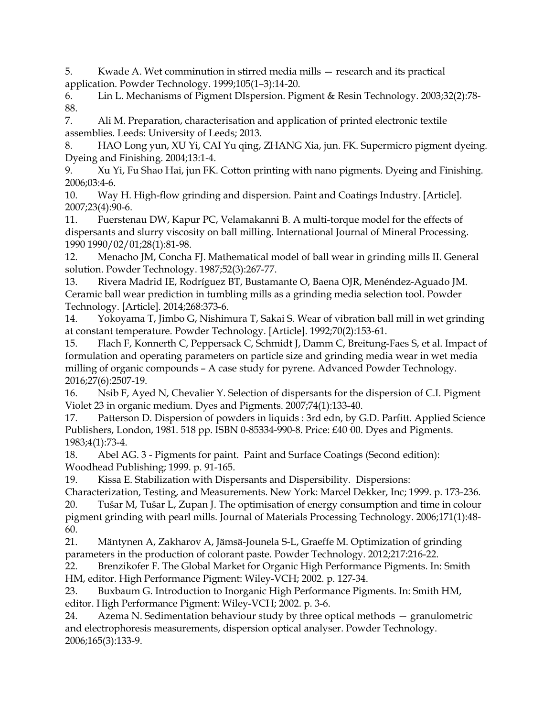5. Kwade A. Wet comminution in stirred media mills — research and its practical application. Powder Technology. 1999;105(1–3):14-20.

6. Lin L. Mechanisms of Pigment DIspersion. Pigment & Resin Technology. 2003;32(2):78- 88.

7. Ali M. Preparation, characterisation and application of printed electronic textile assemblies. Leeds: University of Leeds; 2013.

8. HAO Long yun, XU Yi, CAI Yu qing, ZHANG Xia, jun. FK. Supermicro pigment dyeing. Dyeing and Finishing. 2004;13:1-4.

9. Xu Yi, Fu Shao Hai, jun FK. Cotton printing with nano pigments. Dyeing and Finishing. 2006;03:4-6.

10. Way H. High-flow grinding and dispersion. Paint and Coatings Industry. [Article]. 2007;23(4):90-6.

11. Fuerstenau DW, Kapur PC, Velamakanni B. A multi-torque model for the effects of dispersants and slurry viscosity on ball milling. International Journal of Mineral Processing. 1990 1990/02/01;28(1):81-98.

12. Menacho JM, Concha FJ. Mathematical model of ball wear in grinding mills II. General solution. Powder Technology. 1987;52(3):267-77.

13. Rivera Madrid IE, Rodríguez BT, Bustamante O, Baena OJR, Menéndez-Aguado JM. Ceramic ball wear prediction in tumbling mills as a grinding media selection tool. Powder Technology. [Article]. 2014;268:373-6.

14. Yokoyama T, Jimbo G, Nishimura T, Sakai S. Wear of vibration ball mill in wet grinding at constant temperature. Powder Technology. [Article]. 1992;70(2):153-61.

15. Flach F, Konnerth C, Peppersack C, Schmidt J, Damm C, Breitung-Faes S, et al. Impact of formulation and operating parameters on particle size and grinding media wear in wet media milling of organic compounds – A case study for pyrene. Advanced Powder Technology. 2016;27(6):2507-19.

16. Nsib F, Ayed N, Chevalier Y. Selection of dispersants for the dispersion of C.I. Pigment Violet 23 in organic medium. Dyes and Pigments. 2007;74(1):133-40.

17. Patterson D. Dispersion of powders in liquids : 3rd edn, by G.D. Parfitt. Applied Science Publishers, London, 1981. 518 pp. ISBN 0-85334-990-8. Price: £40·00. Dyes and Pigments. 1983;4(1):73-4.

18. Abel AG. 3 - Pigments for paint. Paint and Surface Coatings (Second edition): Woodhead Publishing; 1999. p. 91-165.

19. Kissa E. Stabilization with Dispersants and Dispersibility. Dispersions:

Characterization, Testing, and Measurements. New York: Marcel Dekker, Inc; 1999. p. 173-236. 20. Tušar M, Tušar L, Zupan J. The optimisation of energy consumption and time in colour pigment grinding with pearl mills. Journal of Materials Processing Technology. 2006;171(1):48- 60.

21. Mäntynen A, Zakharov A, Jämsä-Jounela S-L, Graeffe M. Optimization of grinding parameters in the production of colorant paste. Powder Technology. 2012;217:216-22.

22. Brenzikofer F. The Global Market for Organic High Performance Pigments. In: Smith HM, editor. High Performance Pigment: Wiley-VCH; 2002. p. 127-34.

23. Buxbaum G. Introduction to Inorganic High Performance Pigments. In: Smith HM, editor. High Performance Pigment: Wiley-VCH; 2002. p. 3-6.

24. Azema N. Sedimentation behaviour study by three optical methods — granulometric and electrophoresis measurements, dispersion optical analyser. Powder Technology. 2006;165(3):133-9.